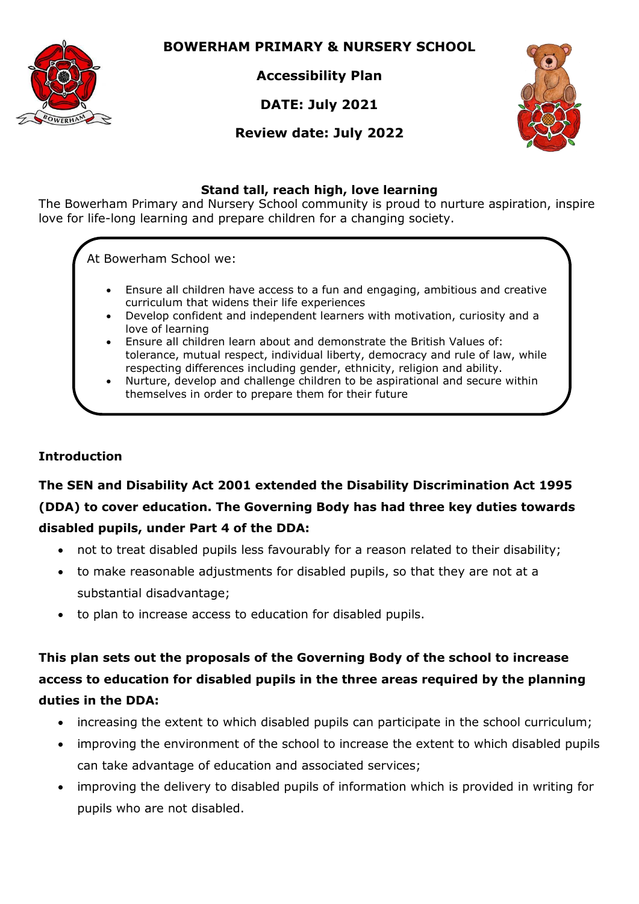

**BOWERHAM PRIMARY & NURSERY SCHOOL**

**Accessibility Plan**

**DATE: July 2021**



**Review date: July 2022**

### **Stand tall, reach high, love learning**

The Bowerham Primary and Nursery School community is proud to nurture aspiration, inspire love for life-long learning and prepare children for a changing society.

At Bowerham School we:

- Ensure all children have access to a fun and engaging, ambitious and creative curriculum that widens their life experiences
- Develop confident and independent learners with motivation, curiosity and a love of learning
- Ensure all children learn about and demonstrate the British Values of: tolerance, mutual respect, individual liberty, democracy and rule of law, while respecting differences including gender, ethnicity, religion and ability.
- Nurture, develop and challenge children to be aspirational and secure within themselves in order to prepare them for their future

### **Introduction**

# **The SEN and Disability Act 2001 extended the Disability Discrimination Act 1995 (DDA) to cover education. The Governing Body has had three key duties towards disabled pupils, under Part 4 of the DDA:**

- not to treat disabled pupils less favourably for a reason related to their disability;
- to make reasonable adjustments for disabled pupils, so that they are not at a substantial disadvantage;
- to plan to increase access to education for disabled pupils.

## **This plan sets out the proposals of the Governing Body of the school to increase access to education for disabled pupils in the three areas required by the planning duties in the DDA:**

- increasing the extent to which disabled pupils can participate in the school curriculum;
- improving the environment of the school to increase the extent to which disabled pupils can take advantage of education and associated services;
- improving the delivery to disabled pupils of information which is provided in writing for pupils who are not disabled.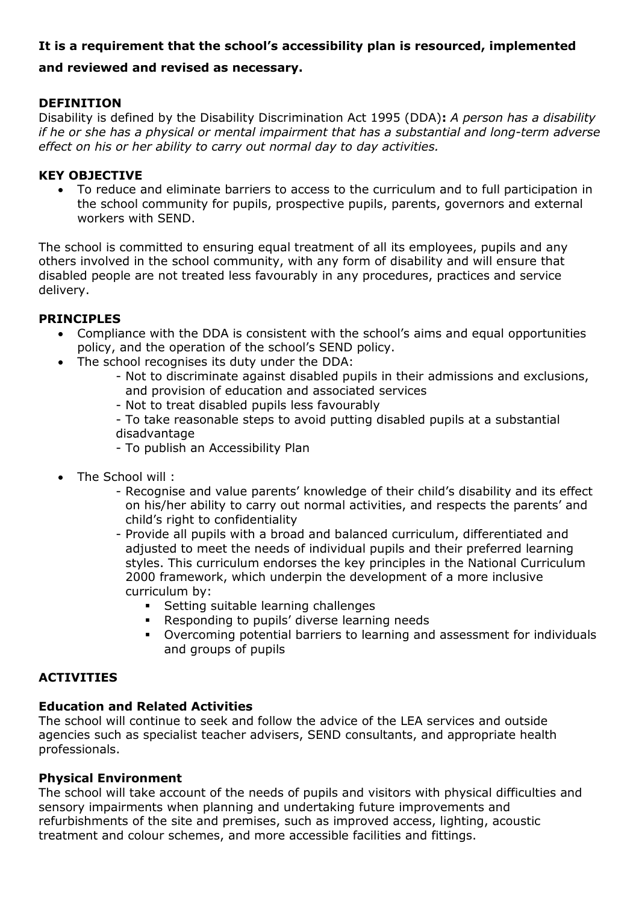### **It is a requirement that the school's accessibility plan is resourced, implemented**

#### **and reviewed and revised as necessary.**

#### **DEFINITION**

Disability is defined by the Disability Discrimination Act 1995 (DDA)**:** *A person has a disability if he or she has a physical or mental impairment that has a substantial and long-term adverse effect on his or her ability to carry out normal day to day activities.*

#### **KEY OBJECTIVE**

 To reduce and eliminate barriers to access to the curriculum and to full participation in the school community for pupils, prospective pupils, parents, governors and external workers with SEND.

The school is committed to ensuring equal treatment of all its employees, pupils and any others involved in the school community, with any form of disability and will ensure that disabled people are not treated less favourably in any procedures, practices and service delivery.

#### **PRINCIPLES**

- Compliance with the DDA is consistent with the school's aims and equal opportunities policy, and the operation of the school's SEND policy.
- The school recognises its duty under the DDA:
	- Not to discriminate against disabled pupils in their admissions and exclusions, and provision of education and associated services
	- Not to treat disabled pupils less favourably

- To take reasonable steps to avoid putting disabled pupils at a substantial disadvantage

- To publish an Accessibility Plan
- The School will:
	- Recognise and value parents' knowledge of their child's disability and its effect on his/her ability to carry out normal activities, and respects the parents' and child's right to confidentiality
	- Provide all pupils with a broad and balanced curriculum, differentiated and adiusted to meet the needs of individual pupils and their preferred learning styles. This curriculum endorses the key principles in the National Curriculum 2000 framework, which underpin the development of a more inclusive curriculum by:
		- **Setting suitable learning challenges**
		- **Responding to pupils' diverse learning needs**
		- Overcoming potential barriers to learning and assessment for individuals and groups of pupils

### **ACTIVITIES**

#### **Education and Related Activities**

The school will continue to seek and follow the advice of the LEA services and outside agencies such as specialist teacher advisers, SEND consultants, and appropriate health professionals.

#### **Physical Environment**

The school will take account of the needs of pupils and visitors with physical difficulties and sensory impairments when planning and undertaking future improvements and refurbishments of the site and premises, such as improved access, lighting, acoustic treatment and colour schemes, and more accessible facilities and fittings.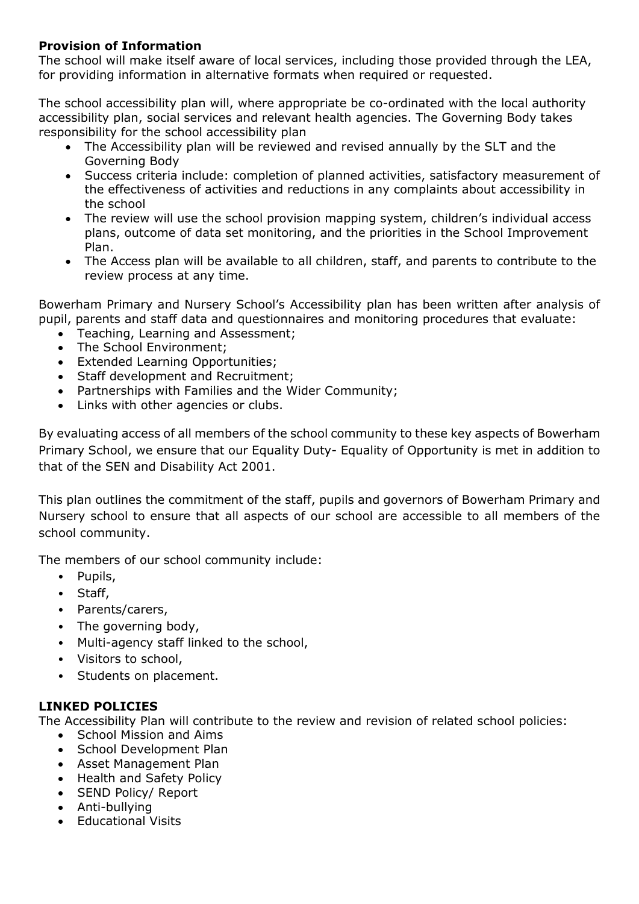### **Provision of Information**

The school will make itself aware of local services, including those provided through the LEA, for providing information in alternative formats when required or requested.

The school accessibility plan will, where appropriate be co-ordinated with the local authority accessibility plan, social services and relevant health agencies. The Governing Body takes responsibility for the school accessibility plan

- The Accessibility plan will be reviewed and revised annually by the SLT and the Governing Body
- Success criteria include: completion of planned activities, satisfactory measurement of the effectiveness of activities and reductions in any complaints about accessibility in the school
- The review will use the school provision mapping system, children's individual access plans, outcome of data set monitoring, and the priorities in the School Improvement Plan.
- The Access plan will be available to all children, staff, and parents to contribute to the review process at any time.

Bowerham Primary and Nursery School's Accessibility plan has been written after analysis of pupil, parents and staff data and questionnaires and monitoring procedures that evaluate:

- Teaching, Learning and Assessment;
- The School Environment;
- Extended Learning Opportunities;
- Staff development and Recruitment;
- Partnerships with Families and the Wider Community;
- Links with other agencies or clubs.

By evaluating access of all members of the school community to these key aspects of Bowerham Primary School, we ensure that our Equality Duty- Equality of Opportunity is met in addition to that of the SEN and Disability Act 2001.

This plan outlines the commitment of the staff, pupils and governors of Bowerham Primary and Nursery school to ensure that all aspects of our school are accessible to all members of the school community.

The members of our school community include:

- Pupils,
- Staff,
- Parents/carers,
- The governing body,
- Multi-agency staff linked to the school,
- Visitors to school,
- Students on placement.

#### **LINKED POLICIES**

The Accessibility Plan will contribute to the review and revision of related school policies:

- School Mission and Aims
- School Development Plan
- Asset Management Plan
- Health and Safety Policy
- SEND Policy/ Report
- Anti-bullying
- Educational Visits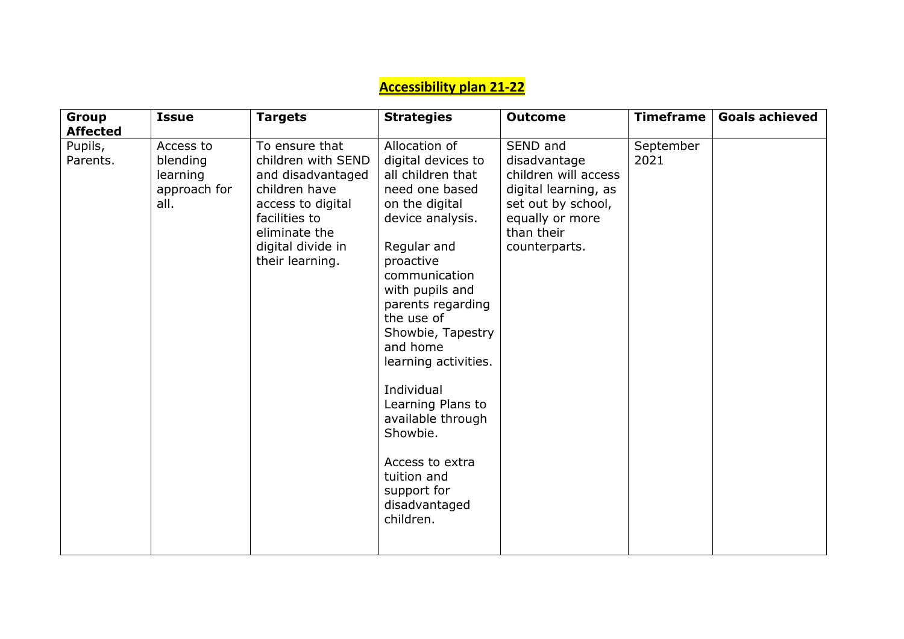# **Accessibility plan 21-22**

| Group<br><b>Affected</b> | <b>Issue</b>                                              | <b>Targets</b>                                                                                                                                                            | <b>Strategies</b>                                                                                                                                                                                                                                                                                                                                                                                                               | <b>Outcome</b>                                                                                                                                   | <b>Timeframe</b>  | <b>Goals achieved</b> |
|--------------------------|-----------------------------------------------------------|---------------------------------------------------------------------------------------------------------------------------------------------------------------------------|---------------------------------------------------------------------------------------------------------------------------------------------------------------------------------------------------------------------------------------------------------------------------------------------------------------------------------------------------------------------------------------------------------------------------------|--------------------------------------------------------------------------------------------------------------------------------------------------|-------------------|-----------------------|
| Pupils,<br>Parents.      | Access to<br>blending<br>learning<br>approach for<br>all. | To ensure that<br>children with SEND<br>and disadvantaged<br>children have<br>access to digital<br>facilities to<br>eliminate the<br>digital divide in<br>their learning. | Allocation of<br>digital devices to<br>all children that<br>need one based<br>on the digital<br>device analysis.<br>Regular and<br>proactive<br>communication<br>with pupils and<br>parents regarding<br>the use of<br>Showbie, Tapestry<br>and home<br>learning activities.<br>Individual<br>Learning Plans to<br>available through<br>Showbie.<br>Access to extra<br>tuition and<br>support for<br>disadvantaged<br>children. | SEND and<br>disadvantage<br>children will access<br>digital learning, as<br>set out by school,<br>equally or more<br>than their<br>counterparts. | September<br>2021 |                       |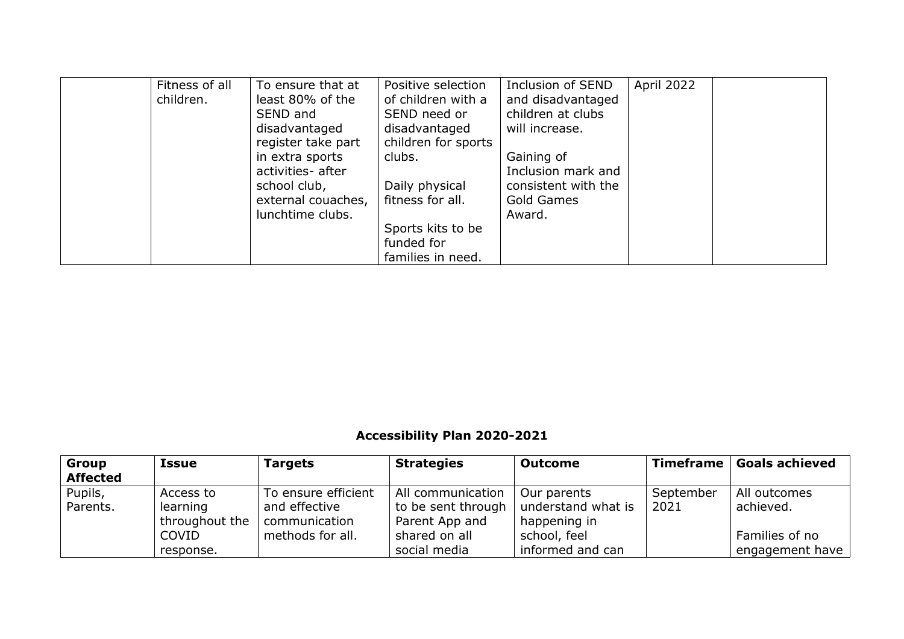| Fitness of all<br>children. | To ensure that at<br>Positive selection<br>of children with a<br>least 80% of the<br>SEND and<br>SEND need or<br>disadvantaged<br>disadvantaged<br>children for sports<br>register take part<br>clubs.<br>in extra sports<br>activities- after<br>Daily physical<br>school club,<br>fitness for all.<br>external couaches,<br>lunchtime clubs.<br>Sports kits to be<br>funded for<br>families in need. | Inclusion of SEND<br>and disadvantaged<br>children at clubs<br>will increase.<br>Gaining of<br>Inclusion mark and<br>consistent with the<br>Gold Games<br>Award. | April 2022 |  |
|-----------------------------|--------------------------------------------------------------------------------------------------------------------------------------------------------------------------------------------------------------------------------------------------------------------------------------------------------------------------------------------------------------------------------------------------------|------------------------------------------------------------------------------------------------------------------------------------------------------------------|------------|--|
|-----------------------------|--------------------------------------------------------------------------------------------------------------------------------------------------------------------------------------------------------------------------------------------------------------------------------------------------------------------------------------------------------------------------------------------------------|------------------------------------------------------------------------------------------------------------------------------------------------------------------|------------|--|

# **Accessibility Plan 2020-2021**

| <b>Group</b><br><b>Affected</b> | <b>Issue</b>   | <b>Targets</b>      | <b>Strategies</b>  | Outcome            |           | Timeframe   Goals achieved |
|---------------------------------|----------------|---------------------|--------------------|--------------------|-----------|----------------------------|
| Pupils,                         | Access to      | To ensure efficient | All communication  | Our parents        | September | All outcomes               |
| Parents.                        | learning       | and effective       | to be sent through | understand what is | 2021      | achieved.                  |
|                                 | throughout the | communication       | Parent App and     | happening in       |           |                            |
|                                 | <b>COVID</b>   | methods for all.    | shared on all      | school, feel       |           | Families of no             |
|                                 | response.      |                     | social media       | informed and can   |           | engagement have            |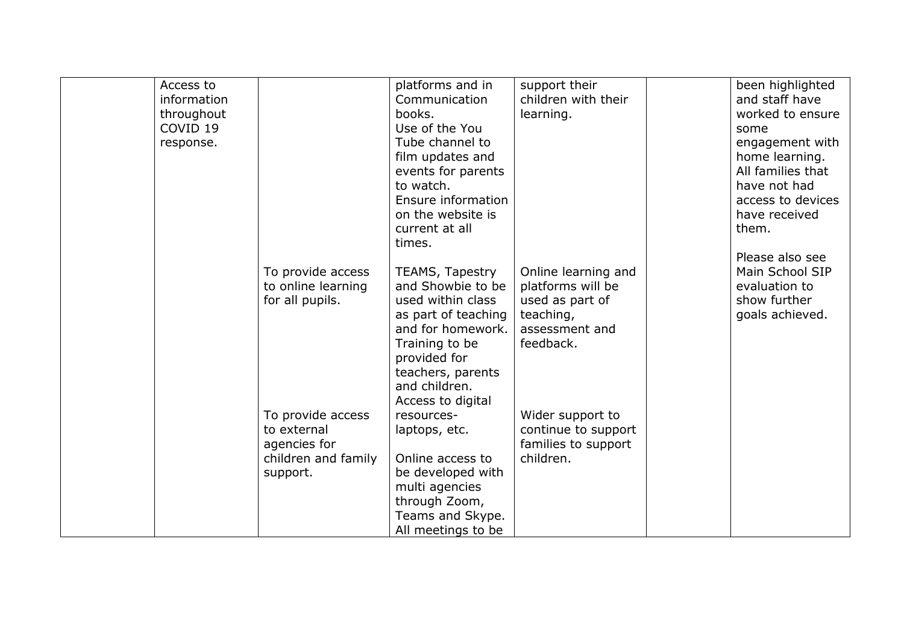| Access to           |                     | platforms and in    | support their       | been highlighted  |
|---------------------|---------------------|---------------------|---------------------|-------------------|
| information         |                     | Communication       | children with their | and staff have    |
| throughout          |                     | books.              | learning.           | worked to ensure  |
| COVID <sub>19</sub> |                     | Use of the You      |                     | some              |
| response.           |                     | Tube channel to     |                     | engagement with   |
|                     |                     | film updates and    |                     | home learning.    |
|                     |                     | events for parents  |                     | All families that |
|                     |                     | to watch.           |                     | have not had      |
|                     |                     | Ensure information  |                     | access to devices |
|                     |                     | on the website is   |                     | have received     |
|                     |                     | current at all      |                     | them.             |
|                     |                     | times.              |                     |                   |
|                     |                     |                     |                     | Please also see   |
|                     | To provide access   | TEAMS, Tapestry     | Online learning and | Main School SIP   |
|                     | to online learning  | and Showbie to be   | platforms will be   | evaluation to     |
|                     | for all pupils.     | used within class   | used as part of     | show further      |
|                     |                     | as part of teaching | teaching,           | goals achieved.   |
|                     |                     | and for homework.   | assessment and      |                   |
|                     |                     | Training to be      | feedback.           |                   |
|                     |                     | provided for        |                     |                   |
|                     |                     | teachers, parents   |                     |                   |
|                     |                     | and children.       |                     |                   |
|                     |                     | Access to digital   |                     |                   |
|                     | To provide access   | resources-          | Wider support to    |                   |
|                     | to external         | laptops, etc.       | continue to support |                   |
|                     | agencies for        |                     | families to support |                   |
|                     | children and family | Online access to    | children.           |                   |
|                     | support.            | be developed with   |                     |                   |
|                     |                     | multi agencies      |                     |                   |
|                     |                     | through Zoom,       |                     |                   |
|                     |                     | Teams and Skype.    |                     |                   |
|                     |                     | All meetings to be  |                     |                   |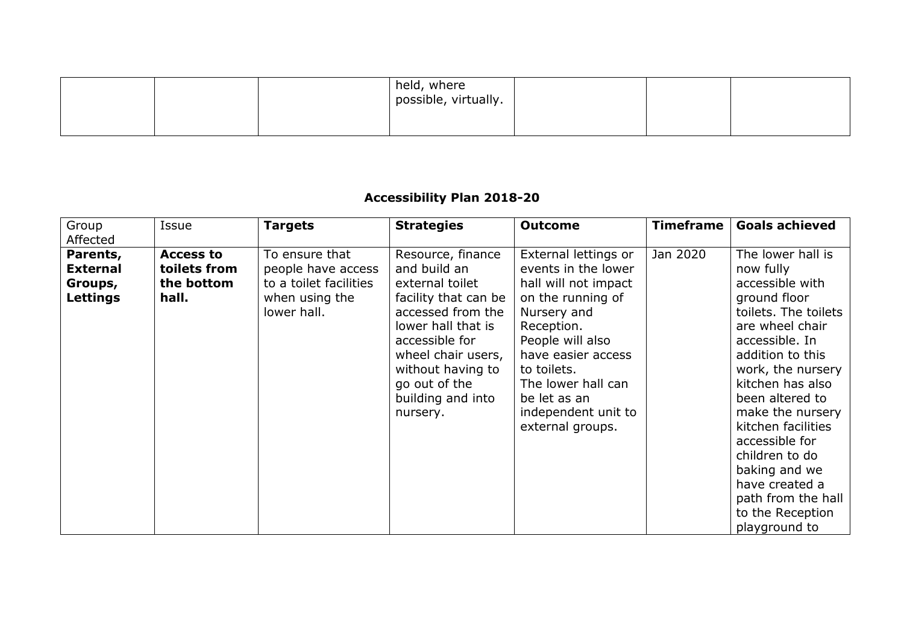|  | held, where<br>possible, virtually. |  |  |
|--|-------------------------------------|--|--|
|  |                                     |  |  |

# **Accessibility Plan 2018-20**

| Group<br>Affected                                  | Issue                                                   | <b>Targets</b>                                                                                  | <b>Strategies</b>                                                                                                                                                                                                                      | <b>Outcome</b>                                                                                                                                                                                                                                                  | Timeframe | <b>Goals achieved</b>                                                                                                                                                                                                                                                                                                                                                                      |
|----------------------------------------------------|---------------------------------------------------------|-------------------------------------------------------------------------------------------------|----------------------------------------------------------------------------------------------------------------------------------------------------------------------------------------------------------------------------------------|-----------------------------------------------------------------------------------------------------------------------------------------------------------------------------------------------------------------------------------------------------------------|-----------|--------------------------------------------------------------------------------------------------------------------------------------------------------------------------------------------------------------------------------------------------------------------------------------------------------------------------------------------------------------------------------------------|
| Parents,<br><b>External</b><br>Groups,<br>Lettings | <b>Access to</b><br>toilets from<br>the bottom<br>hall. | To ensure that<br>people have access<br>to a toilet facilities<br>when using the<br>lower hall. | Resource, finance<br>and build an<br>external toilet<br>facility that can be<br>accessed from the<br>lower hall that is<br>accessible for<br>wheel chair users,<br>without having to<br>go out of the<br>building and into<br>nursery. | External lettings or<br>events in the lower<br>hall will not impact<br>on the running of<br>Nursery and<br>Reception.<br>People will also<br>have easier access<br>to toilets.<br>The lower hall can<br>be let as an<br>independent unit to<br>external groups. | Jan 2020  | The lower hall is<br>now fully<br>accessible with<br>ground floor<br>toilets. The toilets<br>are wheel chair<br>accessible. In<br>addition to this<br>work, the nursery<br>kitchen has also<br>been altered to<br>make the nursery<br>kitchen facilities<br>accessible for<br>children to do<br>baking and we<br>have created a<br>path from the hall<br>to the Reception<br>playground to |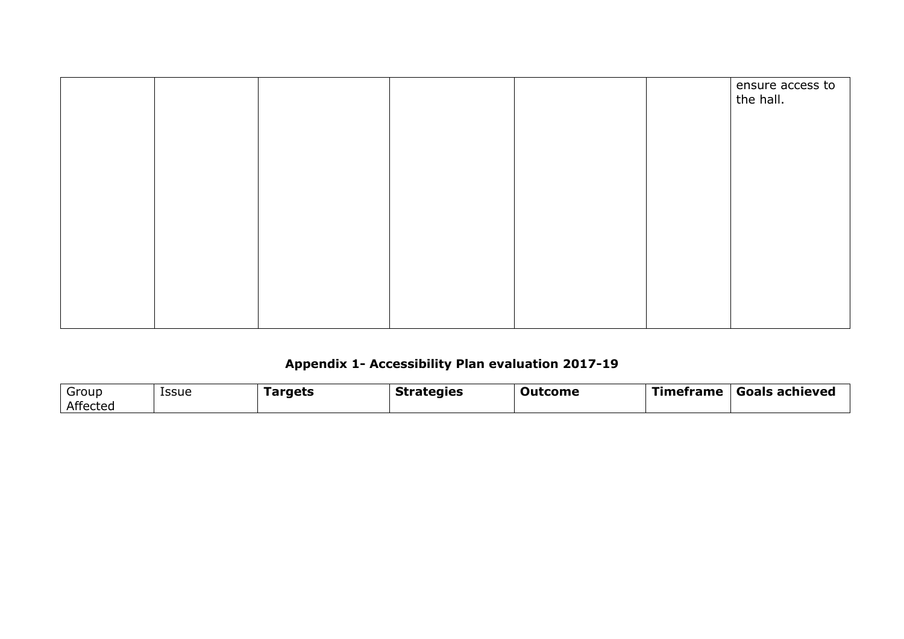|  |  |  | $\sqrt{\frac{1}{1}}$ ensure access to |
|--|--|--|---------------------------------------|
|  |  |  |                                       |
|  |  |  |                                       |
|  |  |  |                                       |
|  |  |  |                                       |
|  |  |  |                                       |
|  |  |  |                                       |

# **Appendix 1- Accessibility Plan evaluation 2017-19**

| Group    | Issue | Targets | <b>Strategies</b> | <b>Outcome</b> | Timeframe   Goals achieved |
|----------|-------|---------|-------------------|----------------|----------------------------|
| Affected |       |         |                   |                |                            |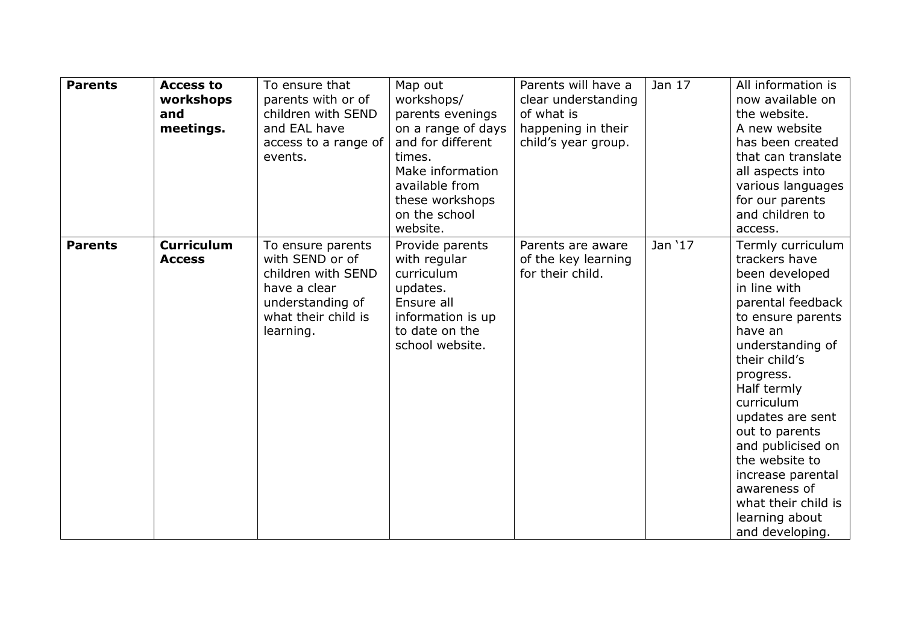| <b>Parents</b> | <b>Access to</b><br>workshops<br>and<br>meetings. | To ensure that<br>parents with or of<br>children with SEND<br>and EAL have<br>access to a range of<br>events.                      | Map out<br>workshops/<br>parents evenings<br>on a range of days<br>and for different<br>times.<br>Make information<br>available from<br>these workshops<br>on the school<br>website. | Parents will have a<br>clear understanding<br>of what is<br>happening in their<br>child's year group. | Jan 17  | All information is<br>now available on<br>the website.<br>A new website<br>has been created<br>that can translate<br>all aspects into<br>various languages<br>for our parents<br>and children to<br>access.                                                                                                                                                                            |
|----------------|---------------------------------------------------|------------------------------------------------------------------------------------------------------------------------------------|--------------------------------------------------------------------------------------------------------------------------------------------------------------------------------------|-------------------------------------------------------------------------------------------------------|---------|----------------------------------------------------------------------------------------------------------------------------------------------------------------------------------------------------------------------------------------------------------------------------------------------------------------------------------------------------------------------------------------|
| <b>Parents</b> | <b>Curriculum</b><br><b>Access</b>                | To ensure parents<br>with SEND or of<br>children with SEND<br>have a clear<br>understanding of<br>what their child is<br>learning. | Provide parents<br>with regular<br>curriculum<br>updates.<br>Ensure all<br>information is up<br>to date on the<br>school website.                                                    | Parents are aware<br>of the key learning<br>for their child.                                          | Jan '17 | Termly curriculum<br>trackers have<br>been developed<br>in line with<br>parental feedback<br>to ensure parents<br>have an<br>understanding of<br>their child's<br>progress.<br>Half termly<br>curriculum<br>updates are sent<br>out to parents<br>and publicised on<br>the website to<br>increase parental<br>awareness of<br>what their child is<br>learning about<br>and developing. |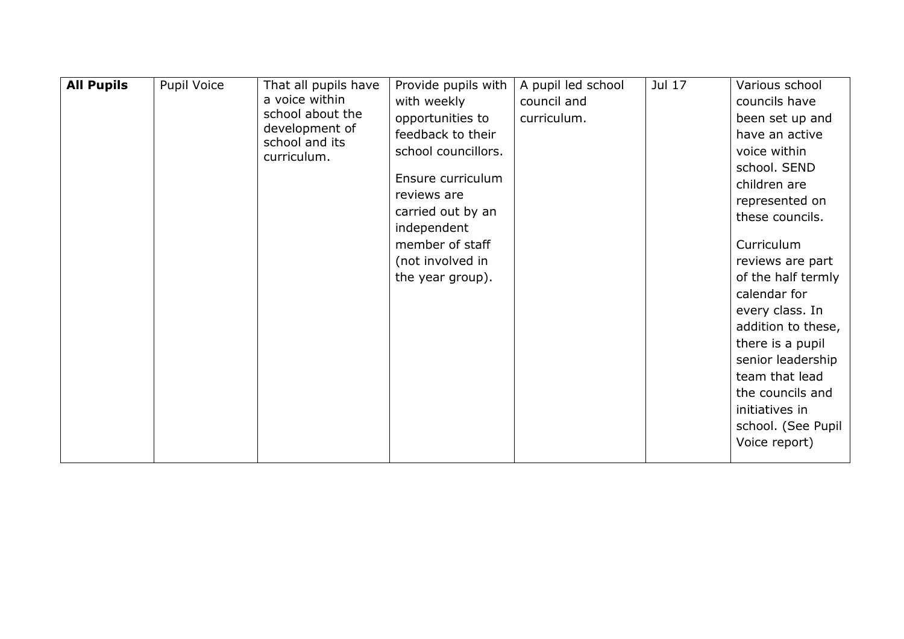| a voice within<br>with weekly<br>councils have<br>council and<br>school about the<br>opportunities to<br>curriculum.<br>been set up and<br>development of<br>feedback to their<br>have an active<br>school and its<br>school councillors.<br>voice within<br>curriculum.<br>school. SEND<br>Ensure curriculum<br>children are<br>reviews are<br>represented on<br>carried out by an<br>these councils.<br>independent | <b>All Pupils</b> | <b>Pupil Voice</b> | That all pupils have | Provide pupils with | A pupil led school | Jul 17 | Various school |  |
|-----------------------------------------------------------------------------------------------------------------------------------------------------------------------------------------------------------------------------------------------------------------------------------------------------------------------------------------------------------------------------------------------------------------------|-------------------|--------------------|----------------------|---------------------|--------------------|--------|----------------|--|
|                                                                                                                                                                                                                                                                                                                                                                                                                       |                   |                    |                      |                     |                    |        |                |  |
|                                                                                                                                                                                                                                                                                                                                                                                                                       |                   |                    |                      |                     |                    |        |                |  |
|                                                                                                                                                                                                                                                                                                                                                                                                                       |                   |                    |                      |                     |                    |        |                |  |
|                                                                                                                                                                                                                                                                                                                                                                                                                       |                   |                    |                      |                     |                    |        |                |  |
|                                                                                                                                                                                                                                                                                                                                                                                                                       |                   |                    |                      |                     |                    |        |                |  |
|                                                                                                                                                                                                                                                                                                                                                                                                                       |                   |                    |                      |                     |                    |        |                |  |
|                                                                                                                                                                                                                                                                                                                                                                                                                       |                   |                    |                      |                     |                    |        |                |  |
|                                                                                                                                                                                                                                                                                                                                                                                                                       |                   |                    |                      |                     |                    |        |                |  |
|                                                                                                                                                                                                                                                                                                                                                                                                                       |                   |                    |                      | member of staff     |                    |        | Curriculum     |  |
| (not involved in<br>reviews are part                                                                                                                                                                                                                                                                                                                                                                                  |                   |                    |                      |                     |                    |        |                |  |
| of the half termly<br>the year group).                                                                                                                                                                                                                                                                                                                                                                                |                   |                    |                      |                     |                    |        |                |  |
| calendar for                                                                                                                                                                                                                                                                                                                                                                                                          |                   |                    |                      |                     |                    |        |                |  |
| every class. In                                                                                                                                                                                                                                                                                                                                                                                                       |                   |                    |                      |                     |                    |        |                |  |
| addition to these,                                                                                                                                                                                                                                                                                                                                                                                                    |                   |                    |                      |                     |                    |        |                |  |
| there is a pupil                                                                                                                                                                                                                                                                                                                                                                                                      |                   |                    |                      |                     |                    |        |                |  |
| senior leadership                                                                                                                                                                                                                                                                                                                                                                                                     |                   |                    |                      |                     |                    |        |                |  |
| team that lead                                                                                                                                                                                                                                                                                                                                                                                                        |                   |                    |                      |                     |                    |        |                |  |
| the councils and                                                                                                                                                                                                                                                                                                                                                                                                      |                   |                    |                      |                     |                    |        |                |  |
| initiatives in                                                                                                                                                                                                                                                                                                                                                                                                        |                   |                    |                      |                     |                    |        |                |  |
| school. (See Pupil                                                                                                                                                                                                                                                                                                                                                                                                    |                   |                    |                      |                     |                    |        |                |  |
| Voice report)                                                                                                                                                                                                                                                                                                                                                                                                         |                   |                    |                      |                     |                    |        |                |  |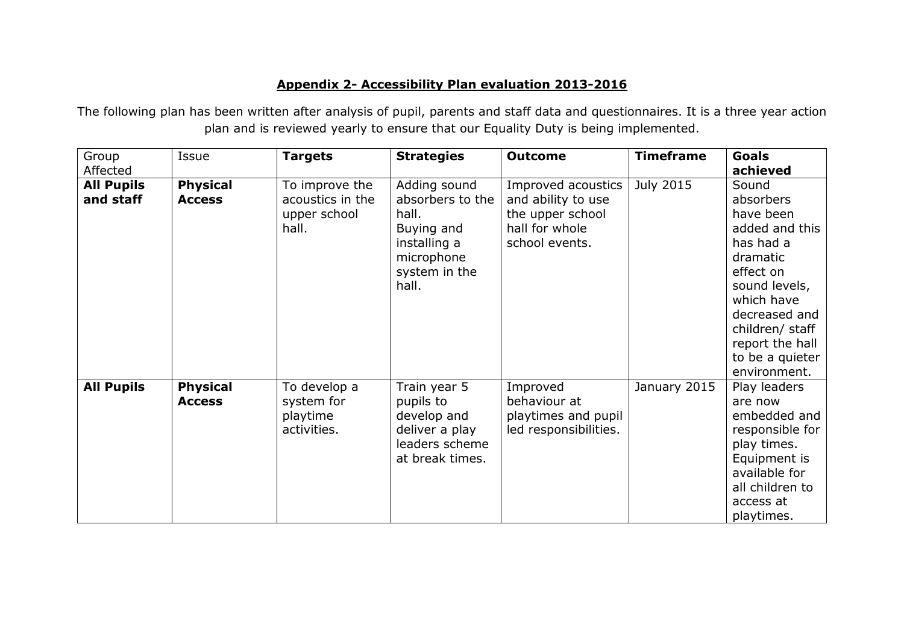### **Appendix 2- Accessibility Plan evaluation 2013-2016**

The following plan has been written after analysis of pupil, parents and staff data and questionnaires. It is a three year action plan and is reviewed yearly to ensure that our Equality Duty is being implemented.

| Group                          | Issue                            | <b>Targets</b>                                              | <b>Strategies</b>                                                                                               | <b>Outcome</b>                                                                                   | <b>Timeframe</b> | <b>Goals</b>                                                                                                                                                                                                     |
|--------------------------------|----------------------------------|-------------------------------------------------------------|-----------------------------------------------------------------------------------------------------------------|--------------------------------------------------------------------------------------------------|------------------|------------------------------------------------------------------------------------------------------------------------------------------------------------------------------------------------------------------|
| Affected                       |                                  |                                                             |                                                                                                                 |                                                                                                  |                  | achieved                                                                                                                                                                                                         |
| <b>All Pupils</b><br>and staff | <b>Physical</b><br><b>Access</b> | To improve the<br>acoustics in the<br>upper school<br>hall. | Adding sound<br>absorbers to the<br>hall.<br>Buying and<br>installing a<br>microphone<br>system in the<br>hall. | Improved acoustics<br>and ability to use<br>the upper school<br>hall for whole<br>school events. | <b>July 2015</b> | Sound<br>absorbers<br>have been<br>added and this<br>has had a<br>dramatic<br>effect on<br>sound levels,<br>which have<br>decreased and<br>children/ staff<br>report the hall<br>to be a quieter<br>environment. |
| <b>All Pupils</b>              | <b>Physical</b><br><b>Access</b> | To develop a<br>system for<br>playtime<br>activities.       | Train year 5<br>pupils to<br>develop and<br>deliver a play<br>leaders scheme<br>at break times.                 | Improved<br>behaviour at<br>playtimes and pupil<br>led responsibilities.                         | January 2015     | Play leaders<br>are now<br>embedded and<br>responsible for<br>play times.<br>Equipment is<br>available for<br>all children to<br>access at<br>playtimes.                                                         |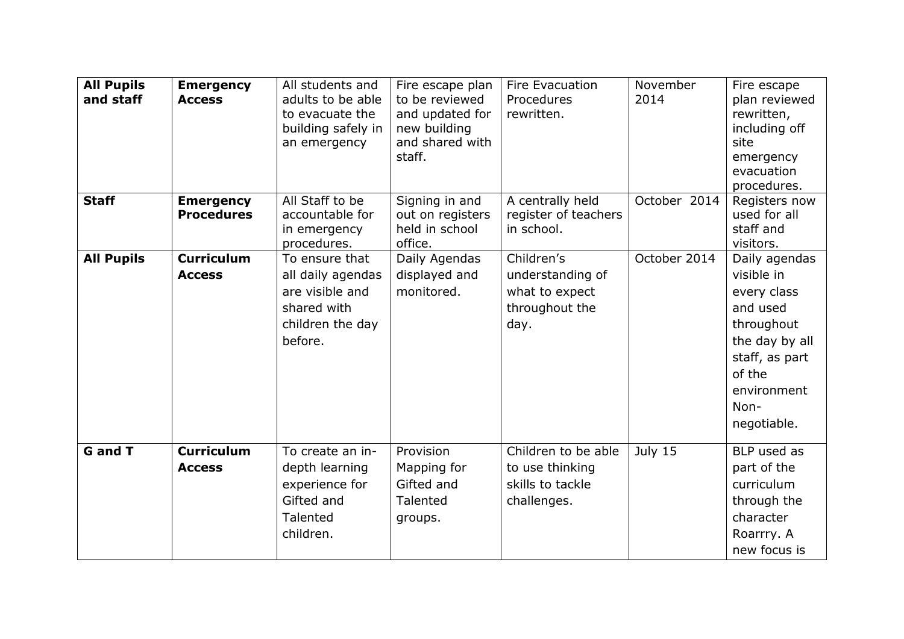| <b>All Pupils</b><br>and staff | <b>Emergency</b><br><b>Access</b>     | All students and<br>adults to be able<br>to evacuate the<br>building safely in<br>an emergency       | Fire escape plan<br>to be reviewed<br>and updated for<br>new building<br>and shared with<br>staff. | Fire Evacuation<br>Procedures<br>rewritten.                                | November<br>2014 | Fire escape<br>plan reviewed<br>rewritten,<br>including off<br>site<br>emergency<br>evacuation<br>procedures.                                            |
|--------------------------------|---------------------------------------|------------------------------------------------------------------------------------------------------|----------------------------------------------------------------------------------------------------|----------------------------------------------------------------------------|------------------|----------------------------------------------------------------------------------------------------------------------------------------------------------|
| <b>Staff</b>                   | <b>Emergency</b><br><b>Procedures</b> | All Staff to be<br>accountable for<br>in emergency<br>procedures.                                    | Signing in and<br>out on registers<br>held in school<br>office.                                    | A centrally held<br>register of teachers<br>in school.                     | October 2014     | Registers now<br>used for all<br>staff and<br>visitors.                                                                                                  |
| <b>All Pupils</b>              | <b>Curriculum</b><br><b>Access</b>    | To ensure that<br>all daily agendas<br>are visible and<br>shared with<br>children the day<br>before. | Daily Agendas<br>displayed and<br>monitored.                                                       | Children's<br>understanding of<br>what to expect<br>throughout the<br>day. | October 2014     | Daily agendas<br>visible in<br>every class<br>and used<br>throughout<br>the day by all<br>staff, as part<br>of the<br>environment<br>Non-<br>negotiable. |
| <b>G</b> and T                 | <b>Curriculum</b><br><b>Access</b>    | To create an in-<br>depth learning<br>experience for<br>Gifted and<br><b>Talented</b><br>children.   | Provision<br>Mapping for<br>Gifted and<br>Talented<br>groups.                                      | Children to be able<br>to use thinking<br>skills to tackle<br>challenges.  | July 15          | BLP used as<br>part of the<br>curriculum<br>through the<br>character<br>Roarrry. A<br>new focus is                                                       |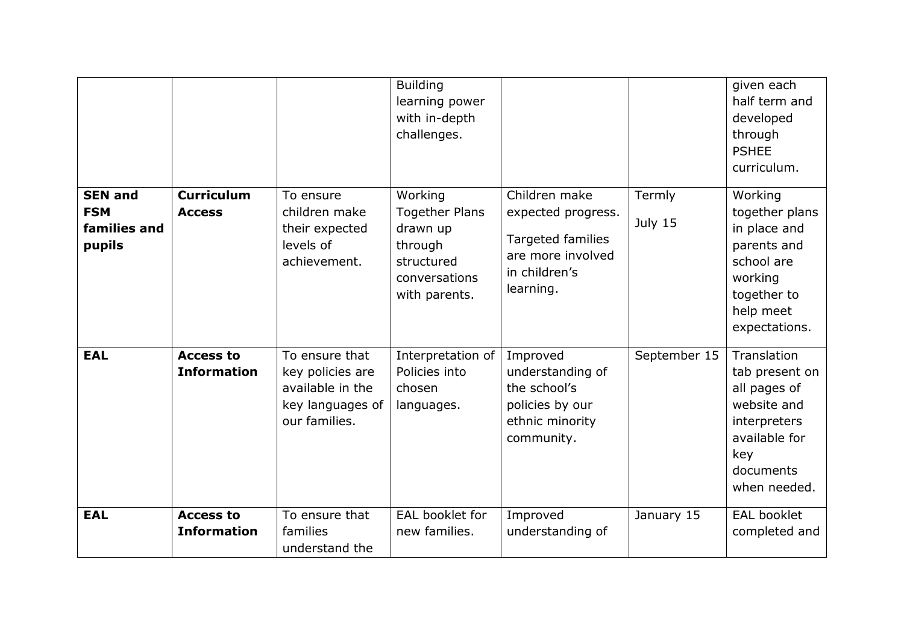|                                                        |                                        |                                                                                             | <b>Building</b><br>learning power<br>with in-depth<br>challenges.                                       |                                                                                                             |                   | given each<br>half term and<br>developed<br>through<br><b>PSHEE</b><br>curriculum.                                                |
|--------------------------------------------------------|----------------------------------------|---------------------------------------------------------------------------------------------|---------------------------------------------------------------------------------------------------------|-------------------------------------------------------------------------------------------------------------|-------------------|-----------------------------------------------------------------------------------------------------------------------------------|
| <b>SEN and</b><br><b>FSM</b><br>families and<br>pupils | <b>Curriculum</b><br><b>Access</b>     | To ensure<br>children make<br>their expected<br>levels of<br>achievement.                   | Working<br><b>Together Plans</b><br>drawn up<br>through<br>structured<br>conversations<br>with parents. | Children make<br>expected progress.<br>Targeted families<br>are more involved<br>in children's<br>learning. | Termly<br>July 15 | Working<br>together plans<br>in place and<br>parents and<br>school are<br>working<br>together to<br>help meet<br>expectations.    |
| <b>EAL</b>                                             | <b>Access to</b><br><b>Information</b> | To ensure that<br>key policies are<br>available in the<br>key languages of<br>our families. | Interpretation of<br>Policies into<br>chosen<br>languages.                                              | Improved<br>understanding of<br>the school's<br>policies by our<br>ethnic minority<br>community.            | September 15      | Translation<br>tab present on<br>all pages of<br>website and<br>interpreters<br>available for<br>key<br>documents<br>when needed. |
| <b>EAL</b>                                             | <b>Access to</b><br><b>Information</b> | To ensure that<br>families<br>understand the                                                | EAL booklet for<br>new families.                                                                        | Improved<br>understanding of                                                                                | January 15        | <b>EAL booklet</b><br>completed and                                                                                               |